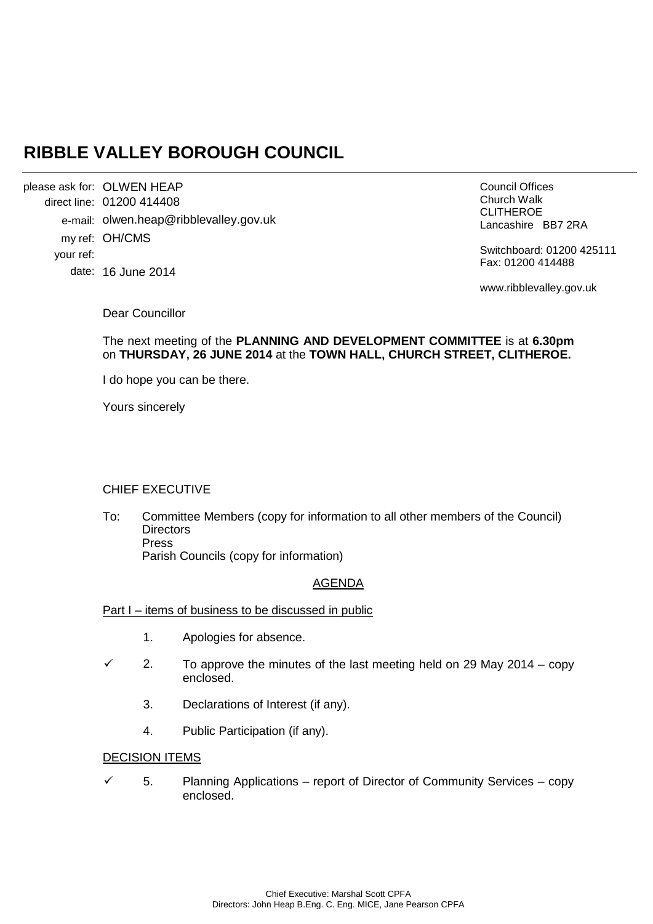# **RIBBLE VALLEY BOROUGH COUNCIL**

OLWEN HEAP please ask for: 01200 414408 direct line: e-mail: olwen.heap@ribblevalley.gov.uk my ref: OH/CMS date: 16 June 2014 your ref:

Council Offices Church Walk CLITHEROE Lancashire BB7 2RA

Switchboard: 01200 425111 Fax: 01200 414488

www.ribblevalley.gov.uk

Dear Councillor

#### The next meeting of the **PLANNING AND DEVELOPMENT COMMITTEE** is at **6.30pm**  on **THURSDAY, 26 JUNE 2014** at the **TOWN HALL, CHURCH STREET, CLITHEROE.**

I do hope you can be there.

Yours sincerely

# CHIEF EXECUTIVE

To: Committee Members (copy for information to all other members of the Council) **Directors** Press Parish Councils (copy for information)

# AGENDA

#### Part I – items of business to be discussed in public

- 1. Apologies for absence.
- 2. To approve the minutes of the last meeting held on 29 May 2014 copy enclosed.
	- 3. Declarations of Interest (if any).
	- 4. Public Participation (if any).

#### DECISION ITEMS

 $\checkmark$  5. Planning Applications – report of Director of Community Services – copy enclosed.